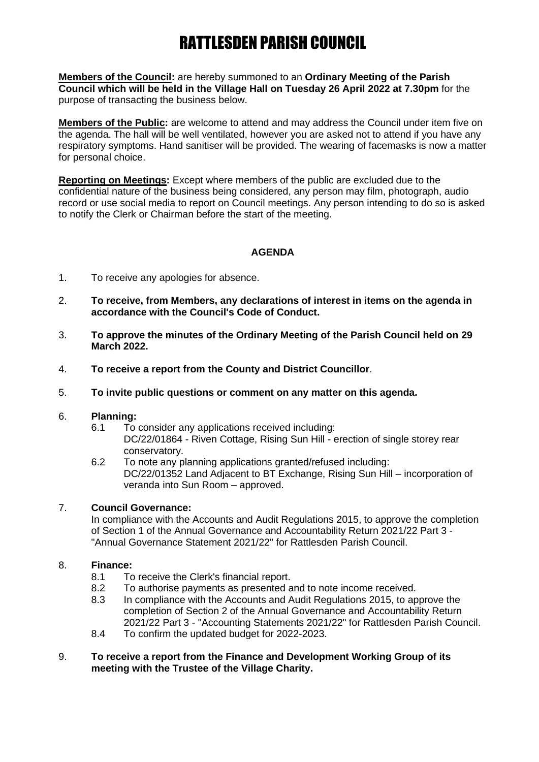# RATTLESDEN PARISH COUNCIL

**Members of the Council:** are hereby summoned to an **Ordinary Meeting of the Parish Council which will be held in the Village Hall on Tuesday 26 April 2022 at 7.30pm** for the purpose of transacting the business below.

**Members of the Public:** are welcome to attend and may address the Council under item five on the agenda. The hall will be well ventilated, however you are asked not to attend if you have any respiratory symptoms. Hand sanitiser will be provided. The wearing of facemasks is now a matter for personal choice.

**Reporting on Meetings:** Except where members of the public are excluded due to the confidential nature of the business being considered, any person may film, photograph, audio record or use social media to report on Council meetings. Any person intending to do so is asked to notify the Clerk or Chairman before the start of the meeting.

### **AGENDA**

- 1. To receive any apologies for absence.
- 2. **To receive, from Members, any declarations of interest in items on the agenda in accordance with the Council's Code of Conduct.**
- 3. **To approve the minutes of the Ordinary Meeting of the Parish Council held on 29 March 2022.**
- 4. **To receive a report from the County and District Councillor**.
- 5. **To invite public questions or comment on any matter on this agenda.**

#### 6. **Planning:**

- 6.1 To consider any applications received including: DC/22/01864 - Riven Cottage, Rising Sun Hill - erection of single storey rear conservatory.
- 6.2 To note any planning applications granted/refused including: DC/22/01352 Land Adjacent to BT Exchange, Rising Sun Hill – incorporation of veranda into Sun Room – approved.

#### 7. **Council Governance:**

In compliance with the Accounts and Audit Regulations 2015, to approve the completion of Section 1 of the Annual Governance and Accountability Return 2021/22 Part 3 - "Annual Governance Statement 2021/22" for Rattlesden Parish Council.

#### 8. **Finance:**

- 8.1 To receive the Clerk's financial report.
- 8.2 To authorise payments as presented and to note income received.
- 8.3 In compliance with the Accounts and Audit Regulations 2015, to approve the completion of Section 2 of the Annual Governance and Accountability Return 2021/22 Part 3 - "Accounting Statements 2021/22" for Rattlesden Parish Council.
- 8.4 To confirm the updated budget for 2022-2023.
- 9. **To receive a report from the Finance and Development Working Group of its meeting with the Trustee of the Village Charity.**